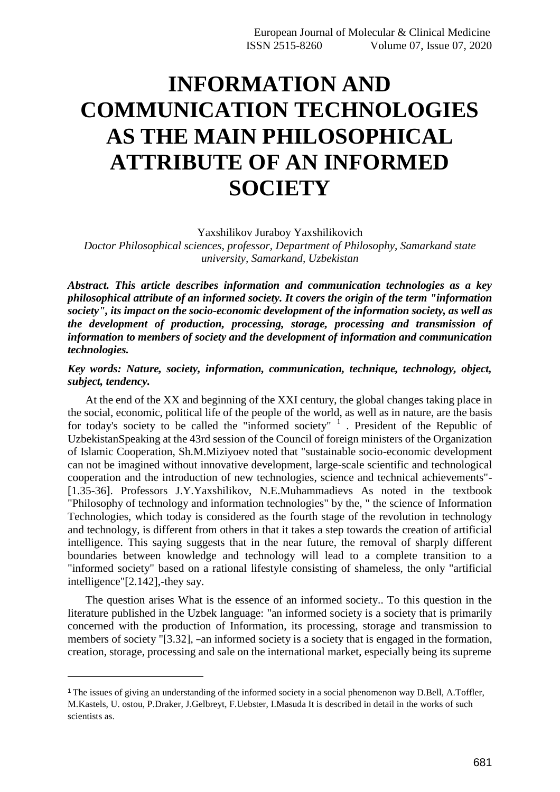## **INFORMATION AND COMMUNICATION TECHNOLOGIES AS THE MAIN PHILOSOPHICAL ATTRIBUTE OF AN INFORMED SOCIETY**

Yaxshilikov Juraboy Yaxshilikovich

*Doctor Philosophical sciences, professor, Department of Philosophy, Samarkand state university, Samarkand, Uzbekistan*

*Abstract. This article describes information and communication technologies as a key philosophical attribute of an informed society. It covers the origin of the term "information society", its impact on the socio-economic development of the information society, as well as the development of production, processing, storage, processing and transmission of information to members of society and the development of information and communication technologies.*

## *Key words: Nature, society, information, communication, technique, technology, object, subject, tendency.*

At the end of the XX and beginning of the XXI century, the global changes taking place in the social, economic, political life of the people of the world, as well as in nature, are the basis for today's society to be called the "informed society"  $1$ . President of the Republic of UzbekistanSpeaking at the 43rd session of the Council of foreign ministers of the Organization of Islamic Cooperation, Sh.M.Miziyoev noted that "sustainable socio-economic development can not be imagined without innovative development, large-scale scientific and technological cooperation and the introduction of new technologies, science and technical achievements"- [1.35-36]. Professors J.Y.Yaxshilikov, N.E.Muhammadievs As noted in the textbook "Philosophy of technology and information technologies" by the, " the science of Information Technologies, which today is considered as the fourth stage of the revolution in technology and technology, is different from others in that it takes a step towards the creation of artificial intelligence. This saying suggests that in the near future, the removal of sharply different boundaries between knowledge and technology will lead to a complete transition to a "informed society" based on a rational lifestyle consisting of shameless, the only "artificial intelligence"[2.142],-they say.

The question arises What is the essence of an informed society.. To this question in the literature published in the Uzbek language: "an informed society is a society that is primarily concerned with the production of Information, its processing, storage and transmission to members of society "[3.32], –an informed society is a society that is engaged in the formation, creation, storage, processing and sale on the international market, especially being its supreme

<sup>1</sup>The issues of giving an understanding of the informed society in a social phenomenon way D.Bell, A.Toffler, M.Kastels, U. ostou, P.Draker, J.Gelbreyt, F.Uebster, I.Masuda It is described in detail in the works of such scientists as.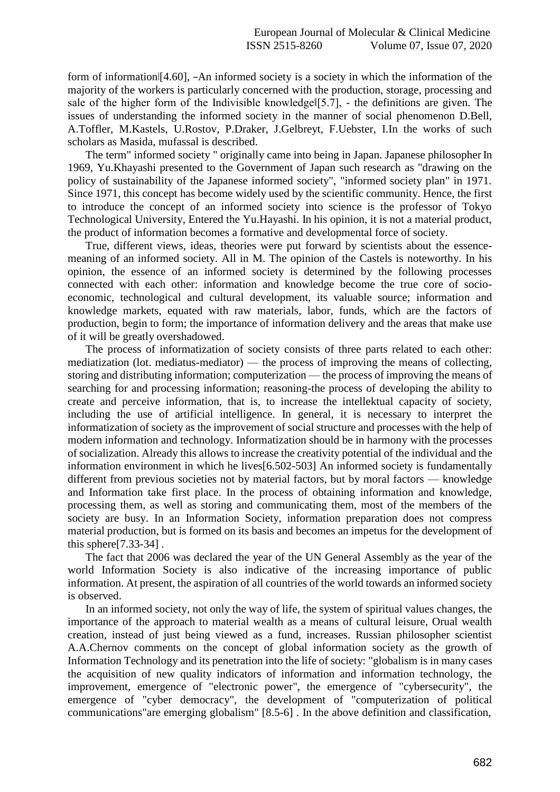form of information [4.60], –An informed society is a society in which the information of the majority of the workers is particularly concerned with the production, storage, processing and sale of the higher form of the Indivisible knowledge  $[5.7]$ , - the definitions are given. The issues of understanding the informed society in the manner of social phenomenon D.Bell, A.Toffler, M.Kastels, U.Rostov, P.Draker, J.Gelbreyt, F.Uebster, I.In the works of such scholars as Masida, mufassal is described.

The term" informed society " originally came into being in Japan. Japanese philosopher In 1969, Yu.Khayashi presented to the Government of Japan such research as "drawing on the policy of sustainability of the Japanese informed society", "informed society plan" in 1971. Since 1971, this concept has become widely used by the scientific community. Hence, the first to introduce the concept of an informed society into science is the professor of Tokyo Technological University, Entered the Yu.Hayashi. In his opinion, it is not a material product, the product of information becomes a formative and developmental force of society.

True, different views, ideas, theories were put forward by scientists about the essencemeaning of an informed society. All in M. The opinion of the Castels is noteworthy. In his opinion, the essence of an informed society is determined by the following processes connected with each other: information and knowledge become the true core of socioeconomic, technological and cultural development, its valuable source; information and knowledge markets, equated with raw materials, labor, funds, which are the factors of production, begin to form; the importance of information delivery and the areas that make use of it will be greatly overshadowed.

The process of informatization of society consists of three parts related to each other: mediatization (lot. mediatus-mediator) — the process of improving the means of collecting, storing and distributing information; computerization — the process of improving the means of searching for and processing information; reasoning-the process of developing the ability to create and perceive information, that is, to increase the intellektual capacity of society, including the use of artificial intelligence. In general, it is necessary to interpret the informatization of society as the improvement of social structure and processes with the help of modern information and technology. Informatization should be in harmony with the processes of socialization. Already this allows to increase the creativity potential of the individual and the information environment in which he lives[6.502-503] An informed society is fundamentally different from previous societies not by material factors, but by moral factors — knowledge and Information take first place. In the process of obtaining information and knowledge, processing them, as well as storing and communicating them, most of the members of the society are busy. In an Information Society, information preparation does not compress material production, but is formed on its basis and becomes an impetus for the development of this sphere[7.33-34] .

The fact that 2006 was declared the year of the UN General Assembly as the year of the world Information Society is also indicative of the increasing importance of public information. At present, the aspiration of all countries of the world towards an informed society is observed.

In an informed society, not only the way of life, the system of spiritual values changes, the importance of the approach to material wealth as a means of cultural leisure, Orual wealth creation, instead of just being viewed as a fund, increases. Russian philosopher scientist A.A.Chernov comments on the concept of global information society as the growth of Information Technology and its penetration into the life of society: "globalism is in many cases the acquisition of new quality indicators of information and information technology, the improvement, emergence of "electronic power", the emergence of "cybersecurity", the emergence of "cyber democracy", the development of "computerization of political communications"are emerging globalism" [8.5-6] . In the above definition and classification,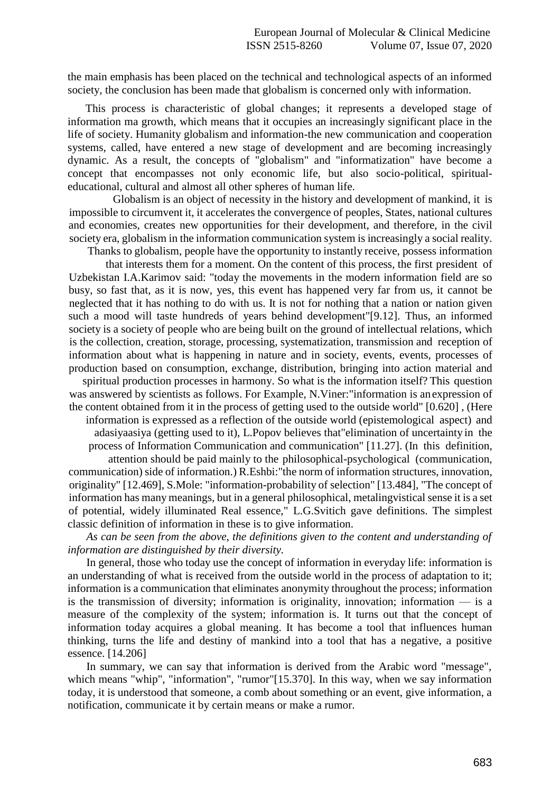the main emphasis has been placed on the technical and technological aspects of an informed society, the conclusion has been made that globalism is concerned only with information.

This process is characteristic of global changes; it represents a developed stage of information ma growth, which means that it occupies an increasingly significant place in the life of society. Humanity globalism and information-the new communication and cooperation systems, called, have entered a new stage of development and are becoming increasingly dynamic. As a result, the concepts of "globalism" and "informatization" have become a concept that encompasses not only economic life, but also socio-political, spiritualeducational, cultural and almost all other spheres of human life.

Globalism is an object of necessity in the history and development of mankind, it is impossible to circumvent it, it accelerates the convergence of peoples, States, national cultures and economies, creates new opportunities for their development, and therefore, in the civil society era, globalism in the information communication system is increasingly a social reality.

Thanks to globalism, people have the opportunity to instantly receive, possess information

that interests them for a moment. On the content of this process, the first president of Uzbekistan I.A.Karimov said: "today the movements in the modern information field are so busy, so fast that, as it is now, yes, this event has happened very far from us, it cannot be neglected that it has nothing to do with us. It is not for nothing that a nation or nation given such a mood will taste hundreds of years behind development"[9.12]. Thus, an informed society is a society of people who are being built on the ground of intellectual relations, which is the collection, creation, storage, processing, systematization, transmission and reception of information about what is happening in nature and in society, events, events, processes of production based on consumption, exchange, distribution, bringing into action material and

spiritual production processes in harmony. So what is the information itself? This question was answered by scientists as follows. For Example, N.Viner:"information is anexpression of the content obtained from it in the process of getting used to the outside world" [0.620] , (Here

information is expressed as a reflection of the outside world (epistemological aspect) and adasiyaasiya (getting used to it), L.Popov believes that"elimination of uncertainty in the process of Information Communication and communication" [11.27]. (In this definition,

attention should be paid mainly to the philosophical-psychological (communication, communication) side of information.) R.Eshbi:"the norm of information structures, innovation, originality" [12.469], S.Mole: "information-probability of selection" [13.484], "The concept of information has many meanings, but in a general philosophical, metalingvistical sense it is a set of potential, widely illuminated Real essence," L.G.Svitich gave definitions. The simplest classic definition of information in these is to give information.

*As can be seen from the above, the definitions given to the content and understanding of information are distinguished by their diversity.*

In general, those who today use the concept of information in everyday life: information is an understanding of what is received from the outside world in the process of adaptation to it; information is a communication that eliminates anonymity throughout the process; information is the transmission of diversity; information is originality, innovation; information  $\frac{1}{1}$  is a measure of the complexity of the system; information is. It turns out that the concept of information today acquires a global meaning. It has become a tool that influences human thinking, turns the life and destiny of mankind into a tool that has a negative, a positive essence. [14.206]

In summary, we can say that information is derived from the Arabic word "message", which means "whip", "information", "rumor"[15.370]. In this way, when we say information today, it is understood that someone, a comb about something or an event, give information, a notification, communicate it by certain means or make a rumor.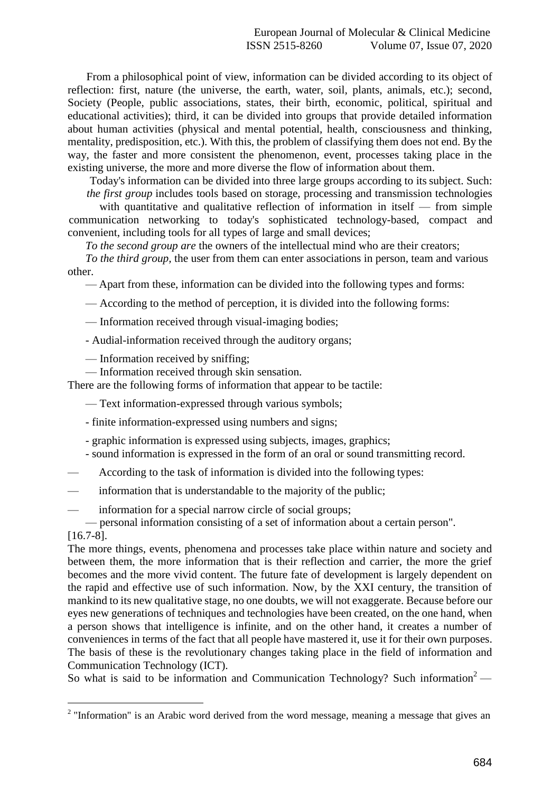From a philosophical point of view, information can be divided according to its object of reflection: first, nature (the universe, the earth, water, soil, plants, animals, etc.); second, Society (People, public associations, states, their birth, economic, political, spiritual and educational activities); third, it can be divided into groups that provide detailed information about human activities (physical and mental potential, health, consciousness and thinking, mentality, predisposition, etc.). With this, the problem of classifying them does not end. By the way, the faster and more consistent the phenomenon, event, processes taking place in the existing universe, the more and more diverse the flow of information about them.

Today's information can be divided into three large groups according to itssubject. Such: *the first group* includes tools based on storage, processing and transmission technologies

with quantitative and qualitative reflection of information in itself — from simple communication networking to today's sophisticated technology-based, compact and convenient, including tools for all types of large and small devices;

*To the second group are* the owners of the intellectual mind who are their creators;

*To the third group,* the user from them can enter associations in person, team and various other.

— Apart from these, information can be divided into the following types and forms:

— According to the method of perception, it is divided into the following forms:

— Information received through visual-imaging bodies;

- Audial-information received through the auditory organs;

— Information received by sniffing;

— Information received through skin sensation.

There are the following forms of information that appear to be tactile:

— Text information-expressed through various symbols;

- finite information-expressed using numbers and signs;

- graphic information is expressed using subjects, images, graphics;
- sound information is expressed in the form of an oral or sound transmitting record.

— According to the task of information is divided into the following types:

information that is understandable to the majority of the public;

information for a special narrow circle of social groups;

— personal information consisting of a set of information about a certain person".

[16.7-8].

The more things, events, phenomena and processes take place within nature and society and between them, the more information that is their reflection and carrier, the more the grief becomes and the more vivid content. The future fate of development is largely dependent on the rapid and effective use of such information. Now, by the XXI century, the transition of mankind to its new qualitative stage, no one doubts, we will not exaggerate. Because before our eyes new generations of techniques and technologies have been created, on the one hand, when a person shows that intelligence is infinite, and on the other hand, it creates a number of conveniences in terms of the fact that all people have mastered it, use it for their own purposes. The basis of these is the revolutionary changes taking place in the field of information and Communication Technology (ICT).

So what is said to be information and Communication Technology? Such information<sup>2</sup> —

 $2$  "Information" is an Arabic word derived from the word message, meaning a message that gives an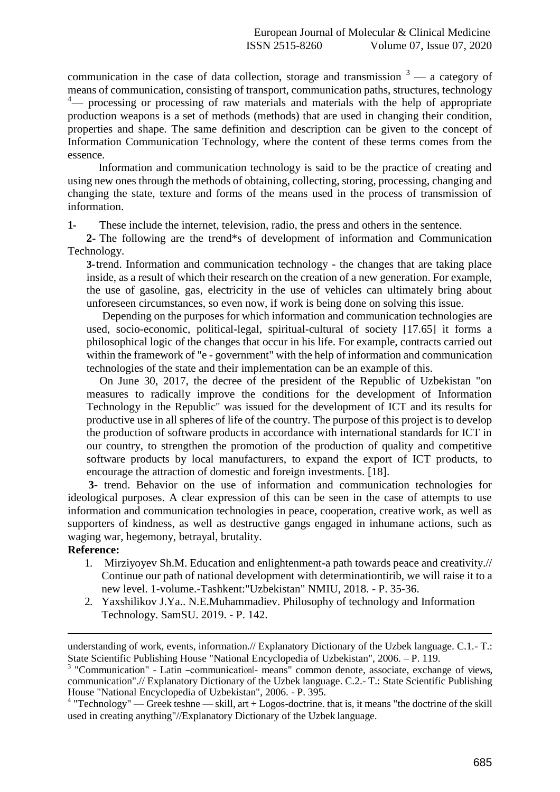communication in the case of data collection, storage and transmission  $3 - a$  category of means of communication, consisting of transport, communication paths, structures, technology  $4$ — processing or processing of raw materials and materials with the help of appropriate production weapons is a set of methods (methods) that are used in changing their condition, properties and shape. The same definition and description can be given to the concept of Information Communication Technology, where the content of these terms comes from the essence.

Information and communication technology is said to be the practice of creating and using new ones through the methods of obtaining, collecting, storing, processing, changing and changing the state, texture and forms of the means used in the process of transmission of information.

**1-** These include the internet, television, radio, the press and others in the sentence.

**2-** The following are the trend\*s of development of information and Communication Technology.

**3-**trend. Information and communication technology - the changes that are taking place inside, as a result of which their research on the creation of a new generation. For example, the use of gasoline, gas, electricity in the use of vehicles can ultimately bring about unforeseen circumstances, so even now, if work is being done on solving this issue.

Depending on the purposes for which information and communication technologies are used, socio-economic, political-legal, spiritual-cultural of society [17.65] it forms a philosophical logic of the changes that occur in his life. For example, contracts carried out within the framework of "e - government" with the help of information and communication technologies of the state and their implementation can be an example of this.

On June 30, 2017, the decree of the president of the Republic of Uzbekistan "on measures to radically improve the conditions for the development of Information Technology in the Republic" was issued for the development of ICT and its results for productive use in all spheres of life of the country. The purpose of this project is to develop the production of software products in accordance with international standards for ICT in our country, to strengthen the promotion of the production of quality and competitive software products by local manufacturers, to expand the export of ICT products, to encourage the attraction of domestic and foreign investments. [18].

**3-** trend. Behavior on the use of information and communication technologies for ideological purposes. A clear expression of this can be seen in the case of attempts to use information and communication technologies in peace, cooperation, creative work, as well as supporters of kindness, as well as destructive gangs engaged in inhumane actions, such as waging war, hegemony, betrayal, brutality.

## **Reference:**

- 1. Mirziyoyev Sh.M. Education and enlightenment-a path towards peace and creativity.// Continue our path of national development with determinationtirib, we will raise it to a new level. 1-volume.-Tashkent:"Uzbekistan" NMIU, 2018. - P. 35-36.
- 2. Yaxshilikov J.Ya.. N.E.Muhammadiev. Philosophy of technology and Information Technology. SamSU. 2019. - P. 142.

understanding of work, events, information.// Explanatory Dictionary of the Uzbek language. C.1.- T.: State Scientific Publishing House "National Encyclopedia of Uzbekistan", 2006. – P. 119.

<sup>&</sup>lt;sup>3</sup> "Communication" - Latin -communication - means" common denote, associate, exchange of views, communication".// Explanatory Dictionary of the Uzbek language. C.2.- T.: State Scientific Publishing House "National Encyclopedia of Uzbekistan", 2006. - P. 395.

 $4$  "Technology" — Greek teshne — skill, art + Logos-doctrine. that is, it means "the doctrine of the skill used in creating anything"//Explanatory Dictionary of the Uzbek language.